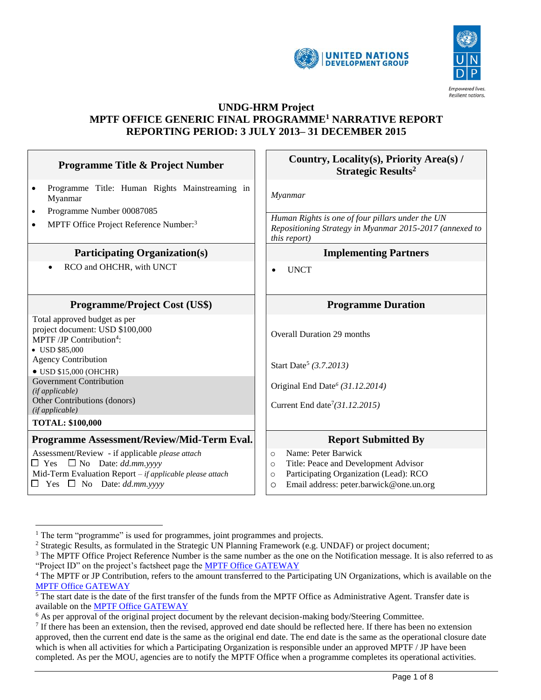



#### **UNDG-HRM Project MPTF OFFICE GENERIC FINAL PROGRAMME<sup>1</sup> NARRATIVE REPORT REPORTING PERIOD: 3 JULY 2013– 31 DECEMBER 2015**

| Country, Locality(s), Priority Area(s) /<br><b>Strategic Results<sup>2</sup></b>                                                                                                        |
|-----------------------------------------------------------------------------------------------------------------------------------------------------------------------------------------|
| Myanmar                                                                                                                                                                                 |
| Human Rights is one of four pillars under the UN<br>Repositioning Strategy in Myanmar 2015-2017 (annexed to<br>this report)                                                             |
| <b>Implementing Partners</b>                                                                                                                                                            |
| <b>UNCT</b>                                                                                                                                                                             |
| <b>Programme Duration</b>                                                                                                                                                               |
| <b>Overall Duration 29 months</b>                                                                                                                                                       |
| Start Date <sup>5</sup> (3.7.2013)                                                                                                                                                      |
| Original End Date <sup>6</sup> (31.12.2014)                                                                                                                                             |
| Current End date <sup>7</sup> (31.12.2015)                                                                                                                                              |
|                                                                                                                                                                                         |
| <b>Report Submitted By</b>                                                                                                                                                              |
| Name: Peter Barwick<br>$\Omega$<br>Title: Peace and Development Advisor<br>$\circ$<br>Participating Organization (Lead): RCO<br>$\circ$<br>Email address: peter.barwick@one.un.org<br>O |
|                                                                                                                                                                                         |

 $\overline{a}$ 

<sup>&</sup>lt;sup>1</sup> The term "programme" is used for programmes, joint programmes and projects.

<sup>&</sup>lt;sup>2</sup> Strategic Results, as formulated in the Strategic UN Planning Framework (e.g. UNDAF) or project document;

<sup>&</sup>lt;sup>3</sup> The MPTF Office Project Reference Number is the same number as the one on the Notification message. It is also referred to as "Project ID" on the project's factsheet page the [MPTF Office GATEWAY](http://mdtf.undp.org/)

<sup>4</sup> The MPTF or JP Contribution, refers to the amount transferred to the Participating UN Organizations, which is available on the [MPTF Office GATEWAY](http://mdtf.undp.org/)

<sup>&</sup>lt;sup>5</sup> The start date is the date of the first transfer of the funds from the MPTF Office as Administrative Agent. Transfer date is available on the [MPTF Office GATEWAY](http://mdtf.undp.org/)

<sup>&</sup>lt;sup>6</sup> As per approval of the original project document by the relevant decision-making body/Steering Committee.

 $<sup>7</sup>$  If there has been an extension, then the revised, approved end date should be reflected here. If there has been no extension</sup> approved, then the current end date is the same as the original end date. The end date is the same as the operational closure date which is when all activities for which a Participating Organization is responsible under an approved MPTF / JP have been completed. As per the MOU, agencies are to notify the MPTF Office when a programme completes its operational activities.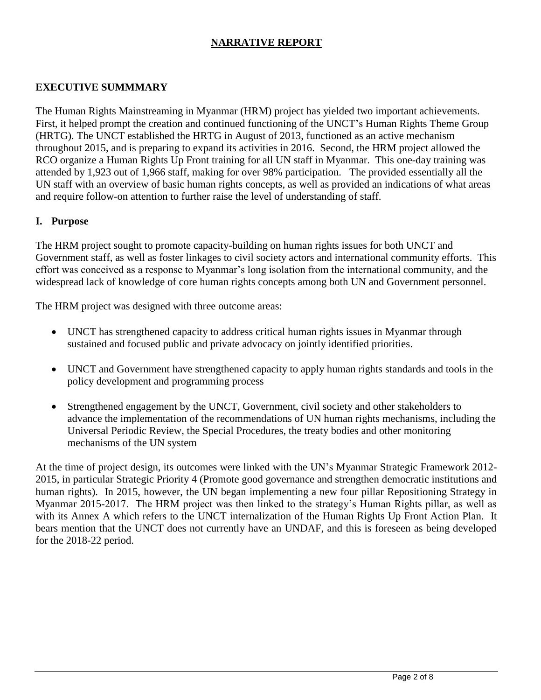# **NARRATIVE REPORT**

## **EXECUTIVE SUMMMARY**

The Human Rights Mainstreaming in Myanmar (HRM) project has yielded two important achievements. First, it helped prompt the creation and continued functioning of the UNCT's Human Rights Theme Group (HRTG). The UNCT established the HRTG in August of 2013, functioned as an active mechanism throughout 2015, and is preparing to expand its activities in 2016. Second, the HRM project allowed the RCO organize a Human Rights Up Front training for all UN staff in Myanmar. This one-day training was attended by 1,923 out of 1,966 staff, making for over 98% participation. The provided essentially all the UN staff with an overview of basic human rights concepts, as well as provided an indications of what areas and require follow-on attention to further raise the level of understanding of staff.

### **I. Purpose**

The HRM project sought to promote capacity-building on human rights issues for both UNCT and Government staff, as well as foster linkages to civil society actors and international community efforts. This effort was conceived as a response to Myanmar's long isolation from the international community, and the widespread lack of knowledge of core human rights concepts among both UN and Government personnel.

The HRM project was designed with three outcome areas:

- UNCT has strengthened capacity to address critical human rights issues in Myanmar through sustained and focused public and private advocacy on jointly identified priorities.
- UNCT and Government have strengthened capacity to apply human rights standards and tools in the policy development and programming process
- Strengthened engagement by the UNCT, Government, civil society and other stakeholders to advance the implementation of the recommendations of UN human rights mechanisms, including the Universal Periodic Review, the Special Procedures, the treaty bodies and other monitoring mechanisms of the UN system

At the time of project design, its outcomes were linked with the UN's Myanmar Strategic Framework 2012- 2015, in particular Strategic Priority 4 (Promote good governance and strengthen democratic institutions and human rights). In 2015, however, the UN began implementing a new four pillar Repositioning Strategy in Myanmar 2015-2017. The HRM project was then linked to the strategy's Human Rights pillar, as well as with its Annex A which refers to the UNCT internalization of the Human Rights Up Front Action Plan. It bears mention that the UNCT does not currently have an UNDAF, and this is foreseen as being developed for the 2018-22 period.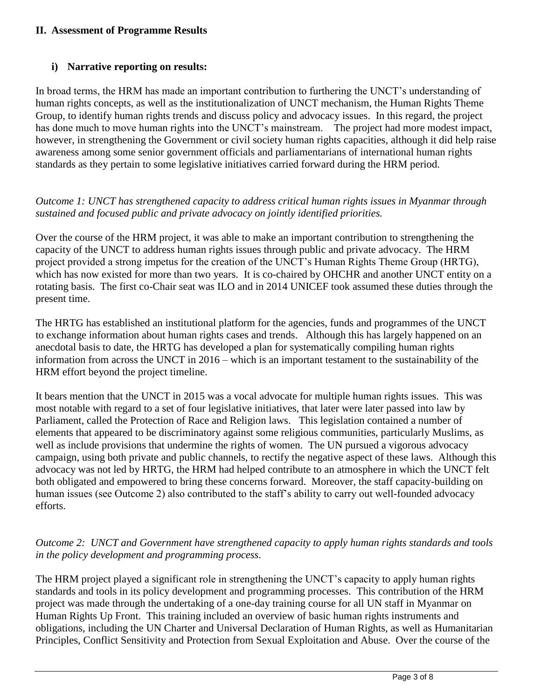### **II. Assessment of Programme Results**

# **i) Narrative reporting on results:**

In broad terms, the HRM has made an important contribution to furthering the UNCT's understanding of human rights concepts, as well as the institutionalization of UNCT mechanism, the Human Rights Theme Group, to identify human rights trends and discuss policy and advocacy issues. In this regard, the project has done much to move human rights into the UNCT's mainstream. The project had more modest impact, however, in strengthening the Government or civil society human rights capacities, although it did help raise awareness among some senior government officials and parliamentarians of international human rights standards as they pertain to some legislative initiatives carried forward during the HRM period.

### *Outcome 1: UNCT has strengthened capacity to address critical human rights issues in Myanmar through sustained and focused public and private advocacy on jointly identified priorities.*

Over the course of the HRM project, it was able to make an important contribution to strengthening the capacity of the UNCT to address human rights issues through public and private advocacy. The HRM project provided a strong impetus for the creation of the UNCT's Human Rights Theme Group (HRTG), which has now existed for more than two years. It is co-chaired by OHCHR and another UNCT entity on a rotating basis. The first co-Chair seat was ILO and in 2014 UNICEF took assumed these duties through the present time.

The HRTG has established an institutional platform for the agencies, funds and programmes of the UNCT to exchange information about human rights cases and trends. Although this has largely happened on an anecdotal basis to date, the HRTG has developed a plan for systematically compiling human rights information from across the UNCT in 2016 – which is an important testament to the sustainability of the HRM effort beyond the project timeline.

It bears mention that the UNCT in 2015 was a vocal advocate for multiple human rights issues. This was most notable with regard to a set of four legislative initiatives, that later were later passed into law by Parliament, called the Protection of Race and Religion laws. This legislation contained a number of elements that appeared to be discriminatory against some religious communities, particularly Muslims, as well as include provisions that undermine the rights of women. The UN pursued a vigorous advocacy campaign, using both private and public channels, to rectify the negative aspect of these laws. Although this advocacy was not led by HRTG, the HRM had helped contribute to an atmosphere in which the UNCT felt both obligated and empowered to bring these concerns forward. Moreover, the staff capacity-building on human issues (see Outcome 2) also contributed to the staff's ability to carry out well-founded advocacy efforts.

## *Outcome 2: UNCT and Government have strengthened capacity to apply human rights standards and tools in the policy development and programming process.*

The HRM project played a significant role in strengthening the UNCT's capacity to apply human rights standards and tools in its policy development and programming processes. This contribution of the HRM project was made through the undertaking of a one-day training course for all UN staff in Myanmar on Human Rights Up Front. This training included an overview of basic human rights instruments and obligations, including the UN Charter and Universal Declaration of Human Rights, as well as Humanitarian Principles, Conflict Sensitivity and Protection from Sexual Exploitation and Abuse. Over the course of the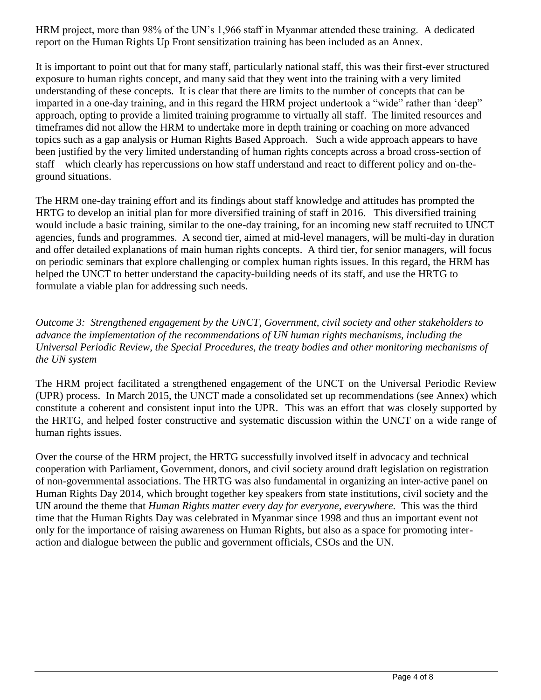HRM project, more than 98% of the UN's 1,966 staff in Myanmar attended these training. A dedicated report on the Human Rights Up Front sensitization training has been included as an Annex.

It is important to point out that for many staff, particularly national staff, this was their first-ever structured exposure to human rights concept, and many said that they went into the training with a very limited understanding of these concepts. It is clear that there are limits to the number of concepts that can be imparted in a one-day training, and in this regard the HRM project undertook a "wide" rather than 'deep" approach, opting to provide a limited training programme to virtually all staff. The limited resources and timeframes did not allow the HRM to undertake more in depth training or coaching on more advanced topics such as a gap analysis or Human Rights Based Approach. Such a wide approach appears to have been justified by the very limited understanding of human rights concepts across a broad cross-section of staff – which clearly has repercussions on how staff understand and react to different policy and on-theground situations.

The HRM one-day training effort and its findings about staff knowledge and attitudes has prompted the HRTG to develop an initial plan for more diversified training of staff in 2016. This diversified training would include a basic training, similar to the one-day training, for an incoming new staff recruited to UNCT agencies, funds and programmes. A second tier, aimed at mid-level managers, will be multi-day in duration and offer detailed explanations of main human rights concepts. A third tier, for senior managers, will focus on periodic seminars that explore challenging or complex human rights issues. In this regard, the HRM has helped the UNCT to better understand the capacity-building needs of its staff, and use the HRTG to formulate a viable plan for addressing such needs.

*Outcome 3: Strengthened engagement by the UNCT, Government, civil society and other stakeholders to advance the implementation of the recommendations of UN human rights mechanisms, including the Universal Periodic Review, the Special Procedures, the treaty bodies and other monitoring mechanisms of the UN system*

The HRM project facilitated a strengthened engagement of the UNCT on the Universal Periodic Review (UPR) process. In March 2015, the UNCT made a consolidated set up recommendations (see Annex) which constitute a coherent and consistent input into the UPR. This was an effort that was closely supported by the HRTG, and helped foster constructive and systematic discussion within the UNCT on a wide range of human rights issues.

Over the course of the HRM project, the HRTG successfully involved itself in advocacy and technical cooperation with Parliament, Government, donors, and civil society around draft legislation on registration of non-governmental associations. The HRTG was also fundamental in organizing an inter-active panel on Human Rights Day 2014, which brought together key speakers from state institutions, civil society and the UN around the theme that *Human Rights matter every day for everyone, everywhere.* This was the third time that the Human Rights Day was celebrated in Myanmar since 1998 and thus an important event not only for the importance of raising awareness on Human Rights, but also as a space for promoting interaction and dialogue between the public and government officials, CSOs and the UN.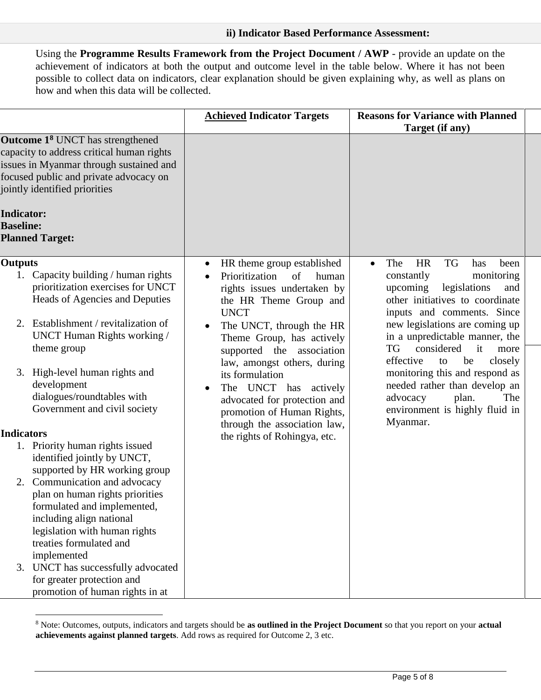#### **ii) Indicator Based Performance Assessment:**

Using the **Programme Results Framework from the Project Document / AWP** - provide an update on the achievement of indicators at both the output and outcome level in the table below. Where it has not been possible to collect data on indicators, clear explanation should be given explaining why, as well as plans on how and when this data will be collected.

|                                                                                                                                                                                                                                                                                                                                                                                                                                                                                                                                                                                                                                                                                                                                                                            | <b>Achieved Indicator Targets</b>                                                                                                                                                                                                                                                                                                                                                                                                                  | <b>Reasons for Variance with Planned</b><br>Target (if any)                                                                                                                                                                                                                                                                                                                                                                                                                      |
|----------------------------------------------------------------------------------------------------------------------------------------------------------------------------------------------------------------------------------------------------------------------------------------------------------------------------------------------------------------------------------------------------------------------------------------------------------------------------------------------------------------------------------------------------------------------------------------------------------------------------------------------------------------------------------------------------------------------------------------------------------------------------|----------------------------------------------------------------------------------------------------------------------------------------------------------------------------------------------------------------------------------------------------------------------------------------------------------------------------------------------------------------------------------------------------------------------------------------------------|----------------------------------------------------------------------------------------------------------------------------------------------------------------------------------------------------------------------------------------------------------------------------------------------------------------------------------------------------------------------------------------------------------------------------------------------------------------------------------|
| <b>Outcome 1<sup>8</sup></b> UNCT has strengthened<br>capacity to address critical human rights<br>issues in Myanmar through sustained and<br>focused public and private advocacy on<br>jointly identified priorities<br><b>Indicator:</b><br><b>Baseline:</b><br><b>Planned Target:</b>                                                                                                                                                                                                                                                                                                                                                                                                                                                                                   |                                                                                                                                                                                                                                                                                                                                                                                                                                                    |                                                                                                                                                                                                                                                                                                                                                                                                                                                                                  |
| <b>Outputs</b><br>1. Capacity building / human rights<br>prioritization exercises for UNCT<br>Heads of Agencies and Deputies<br>2. Establishment / revitalization of<br>UNCT Human Rights working /<br>theme group<br>3. High-level human rights and<br>development<br>dialogues/roundtables with<br>Government and civil society<br><b>Indicators</b><br>1. Priority human rights issued<br>identified jointly by UNCT,<br>supported by HR working group<br>2. Communication and advocacy<br>plan on human rights priorities<br>formulated and implemented,<br>including align national<br>legislation with human rights<br>treaties formulated and<br>implemented<br>3. UNCT has successfully advocated<br>for greater protection and<br>promotion of human rights in at | HR theme group established<br>$\bullet$<br>of<br>Prioritization<br>human<br>rights issues undertaken by<br>the HR Theme Group and<br><b>UNCT</b><br>The UNCT, through the HR<br>Theme Group, has actively<br>supported the association<br>law, amongst others, during<br>its formulation<br>The UNCT has<br>actively<br>advocated for protection and<br>promotion of Human Rights,<br>through the association law,<br>the rights of Rohingya, etc. | <b>HR</b><br><b>TG</b><br>The<br>has<br>been<br>$\bullet$<br>monitoring<br>constantly<br>legislations<br>upcoming<br>and<br>other initiatives to coordinate<br>inputs and comments. Since<br>new legislations are coming up<br>in a unpredictable manner, the<br>considered<br>TG<br>it<br>more<br>effective<br>be<br>closely<br>to<br>monitoring this and respond as<br>needed rather than develop an<br>The<br>advocacy<br>plan.<br>environment is highly fluid in<br>Myanmar. |

<sup>8</sup> Note: Outcomes, outputs, indicators and targets should be **as outlined in the Project Document** so that you report on your **actual achievements against planned targets**. Add rows as required for Outcome 2, 3 etc.

 $\overline{a}$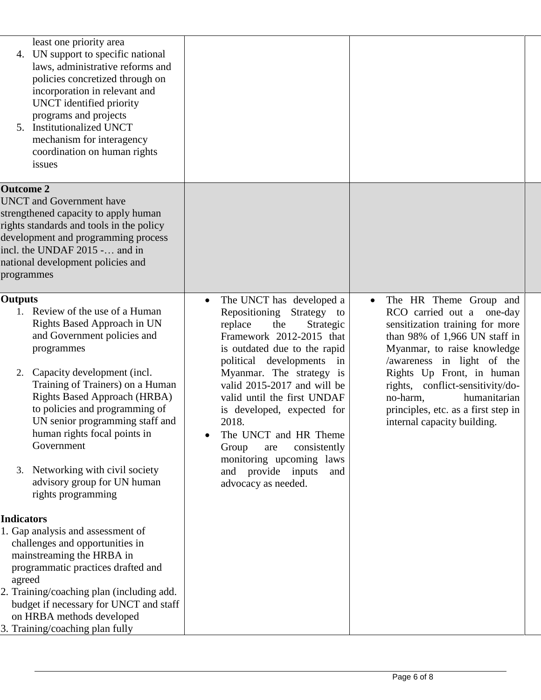| least one priority area<br>4. UN support to specific national<br>laws, administrative reforms and<br>policies concretized through on<br>incorporation in relevant and<br>UNCT identified priority<br>programs and projects<br><b>Institutionalized UNCT</b><br>5.<br>mechanism for interagency<br>coordination on human rights<br>issues                                                                                                                     |                                                                                                                                                                                                                                                                                                                                                                                                                                                            |                                                                                                                                                                                                                                                                                                                                                            |  |
|--------------------------------------------------------------------------------------------------------------------------------------------------------------------------------------------------------------------------------------------------------------------------------------------------------------------------------------------------------------------------------------------------------------------------------------------------------------|------------------------------------------------------------------------------------------------------------------------------------------------------------------------------------------------------------------------------------------------------------------------------------------------------------------------------------------------------------------------------------------------------------------------------------------------------------|------------------------------------------------------------------------------------------------------------------------------------------------------------------------------------------------------------------------------------------------------------------------------------------------------------------------------------------------------------|--|
| <b>Outcome 2</b><br><b>UNCT</b> and Government have<br>strengthened capacity to apply human<br>rights standards and tools in the policy<br>development and programming process<br>incl. the UNDAF 2015 - and in<br>national development policies and<br>programmes                                                                                                                                                                                           |                                                                                                                                                                                                                                                                                                                                                                                                                                                            |                                                                                                                                                                                                                                                                                                                                                            |  |
| <b>Outputs</b><br>1. Review of the use of a Human<br>Rights Based Approach in UN<br>and Government policies and<br>programmes<br>Capacity development (incl.<br>2.<br>Training of Trainers) on a Human<br><b>Rights Based Approach (HRBA)</b><br>to policies and programming of<br>UN senior programming staff and<br>human rights focal points in<br>Government<br>Networking with civil society<br>3.<br>advisory group for UN human<br>rights programming | The UNCT has developed a<br>Repositioning Strategy to<br>replace<br>the<br>Strategic<br>Framework 2012-2015 that<br>is outdated due to the rapid<br>political developments<br>in<br>Myanmar. The strategy is<br>valid 2015-2017 and will be<br>valid until the first UNDAF<br>is developed, expected for<br>2018.<br>The UNCT and HR Theme<br>Group<br>consistently<br>are<br>monitoring upcoming laws<br>and provide inputs<br>and<br>advocacy as needed. | The HR Theme Group and<br>RCO carried out a one-day<br>sensitization training for more<br>than $98\%$ of 1,966 UN staff in<br>Myanmar, to raise knowledge<br>/awareness in light of the<br>Rights Up Front, in human<br>rights, conflict-sensitivity/do-<br>humanitarian<br>no-harm.<br>principles, etc. as a first step in<br>internal capacity building. |  |
| Indicators<br>1. Gap analysis and assessment of<br>challenges and opportunities in<br>mainstreaming the HRBA in<br>programmatic practices drafted and<br>agreed<br>2. Training/coaching plan (including add.<br>budget if necessary for UNCT and staff<br>on HRBA methods developed<br>3. Training/coaching plan fully                                                                                                                                       |                                                                                                                                                                                                                                                                                                                                                                                                                                                            |                                                                                                                                                                                                                                                                                                                                                            |  |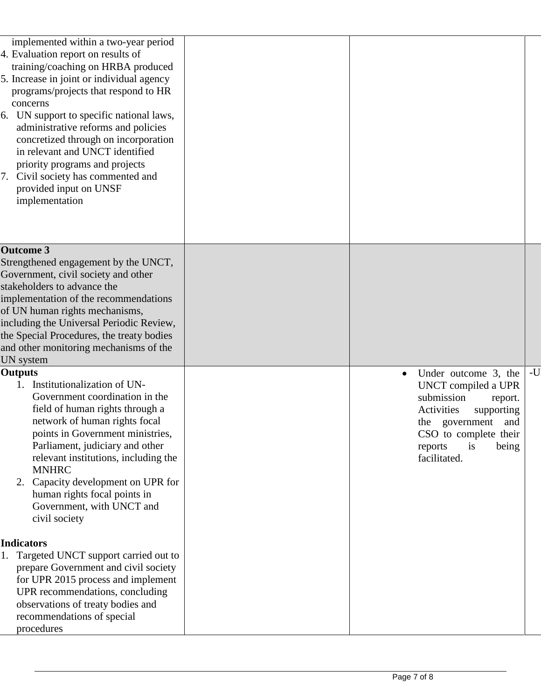| implemented within a two-year period<br>4. Evaluation report on results of<br>training/coaching on HRBA produced<br>5. Increase in joint or individual agency<br>programs/projects that respond to HR<br>concerns<br>6. UN support to specific national laws,<br>administrative reforms and policies<br>concretized through on incorporation<br>in relevant and UNCT identified<br>priority programs and projects<br>7. Civil society has commented and<br>provided input on UNSF<br>implementation |                                                                                                                                                                                                           |      |
|-----------------------------------------------------------------------------------------------------------------------------------------------------------------------------------------------------------------------------------------------------------------------------------------------------------------------------------------------------------------------------------------------------------------------------------------------------------------------------------------------------|-----------------------------------------------------------------------------------------------------------------------------------------------------------------------------------------------------------|------|
| <b>Outcome 3</b><br>Strengthened engagement by the UNCT,<br>Government, civil society and other<br>stakeholders to advance the<br>implementation of the recommendations<br>of UN human rights mechanisms,<br>including the Universal Periodic Review,<br>the Special Procedures, the treaty bodies<br>and other monitoring mechanisms of the<br>UN system                                                                                                                                           |                                                                                                                                                                                                           |      |
| <b>Outputs</b><br>1. Institutionalization of UN-<br>Government coordination in the<br>field of human rights through a<br>network of human rights focal<br>points in Government ministries,<br>Parliament, judiciary and other<br>relevant institutions, including the<br><b>MNHRC</b><br>2. Capacity development on UPR for<br>human rights focal points in<br>Government, with UNCT and                                                                                                            | Under outcome 3, the<br>$\bullet$<br>UNCT compiled a UPR<br>submission<br>report.<br>Activities<br>supporting<br>the government<br>and<br>CSO to complete their<br>is<br>being<br>reports<br>facilitated. | $-U$ |
| civil society<br><b>Indicators</b><br>1. Targeted UNCT support carried out to<br>prepare Government and civil society<br>for UPR 2015 process and implement<br>UPR recommendations, concluding<br>observations of treaty bodies and<br>recommendations of special<br>procedures                                                                                                                                                                                                                     |                                                                                                                                                                                                           |      |